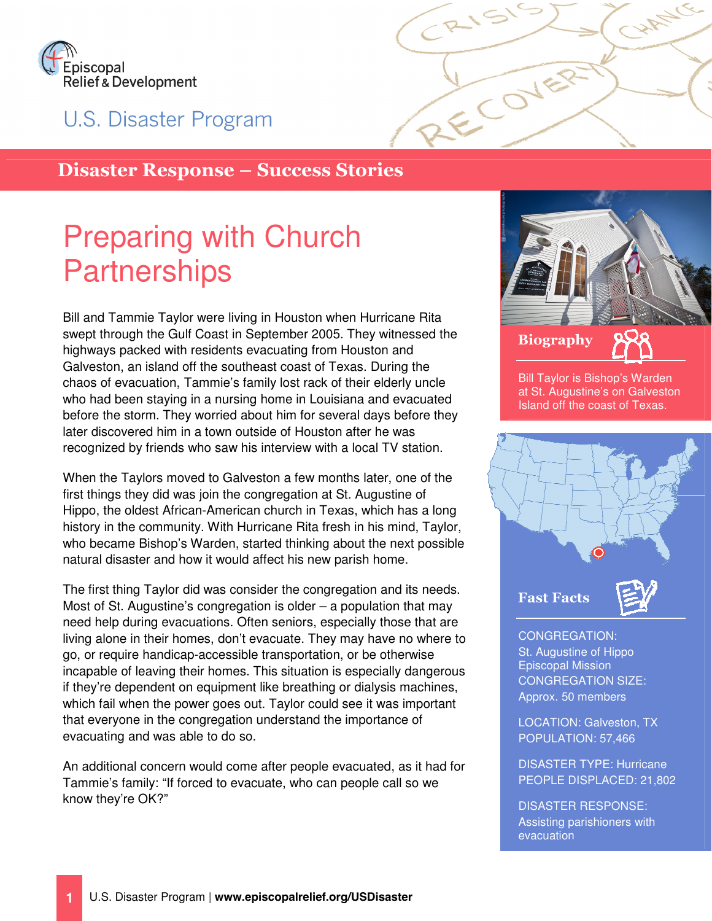

U.S. Disaster Program

## Disaster Response – Success Stories

# Preparing with Church **Partnerships**

Bill and Tammie Taylor were living in Houston when Hurricane Rita swept through the Gulf Coast in September 2005. They witnessed the highways packed with residents evacuating from Houston and Galveston, an island off the southeast coast of Texas. During the chaos of evacuation, Tammie's family lost rack of their elderly uncle who had been staying in a nursing home in Louisiana and evacuated before the storm. They worried about him for several days before they later discovered him in a town outside of Houston after he was recognized by friends who saw his interview with a local TV station.

When the Taylors moved to Galveston a few months later, one of the first things they did was join the congregation at St. Augustine of Hippo, the oldest African-American church in Texas, which has a long history in the community. With Hurricane Rita fresh in his mind, Taylor, who became Bishop's Warden, started thinking about the next possible natural disaster and how it would affect his new parish home.

The first thing Taylor did was consider the congregation and its needs. Most of St. Augustine's congregation is older – a population that may need help during evacuations. Often seniors, especially those that are living alone in their homes, don't evacuate. They may have no where to go, or require handicap-accessible transportation, or be otherwise incapable of leaving their homes. This situation is especially dangerous if they're dependent on equipment like breathing or dialysis machines, which fail when the power goes out. Taylor could see it was important that everyone in the congregation understand the importance of evacuating and was able to do so.

An additional concern would come after people evacuated, as it had for Tammie's family: "If forced to evacuate, who can people call so we know they're OK?"



ECOVER

CHANCE

Bill Taylor is Bishop's Warden at St. Augustine's on Galveston Island off the coast of Texas.



CONGREGATION: St. Augustine of Hippo Episcopal Mission CONGREGATION SIZE: Approx. 50 members

LOCATION: Galveston, TX POPULATION: 57,466

DISASTER TYPE: Hurricane PEOPLE DISPLACED: 21,802

DISASTER RESPONSE: Assisting parishioners with evacuation